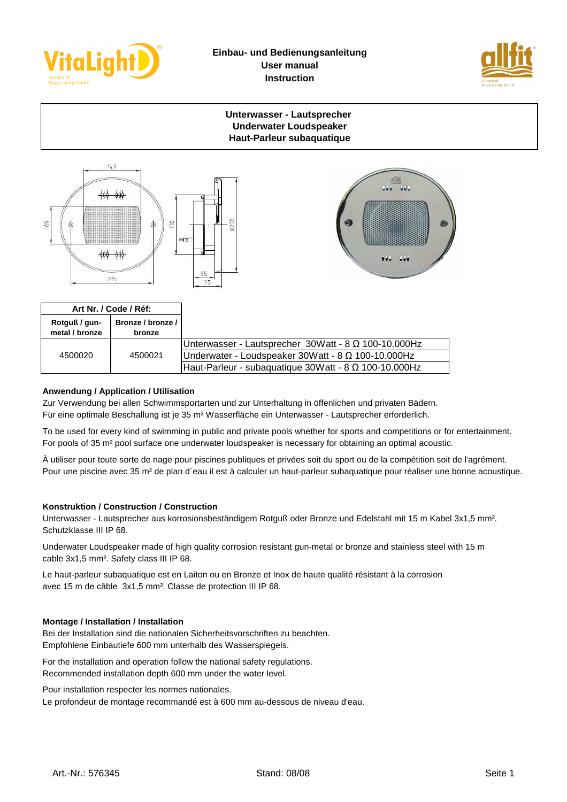



# **Unterwasser - Lautsprecher Underwater Loudspeaker Haut-Parleur subaquatique**





| Art Nr. / Code / Réf:           |                               |                                                                |
|---------------------------------|-------------------------------|----------------------------------------------------------------|
| Rotguß / gun-<br>metal / bronze | Bronze / bronze / I<br>bronze |                                                                |
| 4500020                         | 4500021                       | Unterwasser - Lautsprecher $30W$ att - 8 $\Omega$ 100-10.000Hz |
|                                 |                               | IUnderwater - Loudspeaker 30Watt - 8 Ω 100-10.000Hz            |
|                                 |                               | Haut-Parleur - subaquatique 30Watt - 8 Ω 100-10.000Hz          |

# **Anwendung / Application / Utilisation**

Zur Verwendung bei allen Schwimmsportarten und zur Unterhaltung in öffenlichen und privaten Bädern. Für eine optimale Beschallung ist je 35 m² Wasserfläche ein Unterwasser - Lautsprecher erforderlich.

To be used for every kind of swimming in public and private pools whether for sports and competitions or for entertainment. For pools of 35 m² pool surface one underwater loudspeaker is necessary for obtaining an optimal acoustic.

À utiliser pour toute sorte de nage pour piscines publiques et privées soit du sport ou de la compétition soit de l'agrément. Pour une piscine avec 35 m² de plan d´eau il est à calculer un haut-parleur subaquatique pour réaliser une bonne acoustique.

### **Konstruktion / Construction / Construction**

Unterwasser - Lautsprecher aus korrosionsbeständigem Rotguß oder Bronze und Edelstahl mit 15 m Kabel 3x1,5 mm². Schutzklasse III IP 68.

Underwater Loudspeaker made of high quality corrosion resistant gun-metal or bronze and stainless steel with 15 m cable 3x1,5 mm². Safety class III IP 68.

Le haut-parleur subaquatique est en Laiton ou en Bronze et Inox de haute qualité résistant à la corrosion avec 15 m de câble 3x1,5 mm². Classe de protection III IP 68.

### **Montage / Installation / Installation**

Bei der Installation sind die nationalen Sicherheitsvorschriften zu beachten. Empfohlene Einbautiefe 600 mm unterhalb des Wasserspiegels.

For the installation and operation follow the national safety regulations. Recommended installation depth 600 mm under the water level.

Pour installation respecter les normes nationales.

Le profondeur de montage recommandé est à 600 mm au-dessous de niveau d'eau.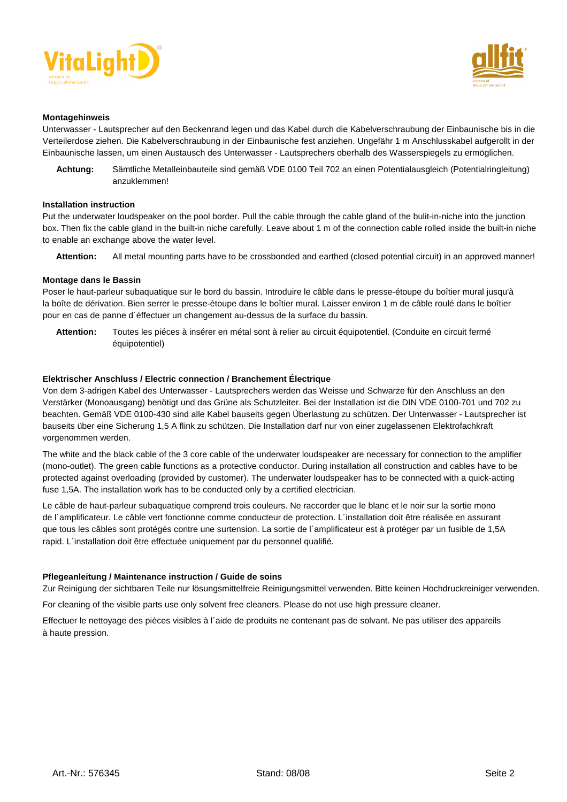



#### **Montagehinweis**

Unterwasser - Lautsprecher auf den Beckenrand legen und das Kabel durch die Kabelverschraubung der Einbaunische bis in die Verteilerdose ziehen. Die Kabelverschraubung in der Einbaunische fest anziehen. Ungefähr 1 m Anschlusskabel aufgerollt in der Einbaunische lassen, um einen Austausch des Unterwasser - Lautsprechers oberhalb des Wasserspiegels zu ermöglichen.

**Achtung:** Sämtliche Metalleinbauteile sind gemäß VDE 0100 Teil 702 an einen Potentialausgleich (Potentialringleitung) anzuklemmen!

#### **Installation instruction**

Put the underwater loudspeaker on the pool border. Pull the cable through the cable gland of the bulit-in-niche into the junction box. Then fix the cable gland in the built-in niche carefully. Leave about 1 m of the connection cable rolled inside the built-in niche to enable an exchange above the water level.

**Attention:** All metal mounting parts have to be crossbonded and earthed (closed potential circuit) in an approved manner!

#### **Montage dans le Bassin**

Poser le haut-parleur subaquatique sur le bord du bassin. Introduire le câble dans le presse-étoupe du boîtier mural jusqu'à la boîte de dérivation. Bien serrer le presse-étoupe dans le boîtier mural. Laisser environ 1 m de câble roulé dans le boîtier pour en cas de panne d´éffectuer un changement au-dessus de la surface du bassin.

**Attention:** Toutes les piéces à insérer en métal sont à relier au circuit équipotentiel. (Conduite en circuit fermé équipotentiel)

#### **Elektrischer Anschluss / Electric connection / Branchement Électrique**

Von dem 3-adrigen Kabel des Unterwasser - Lautsprechers werden das Weisse und Schwarze für den Anschluss an den Verstärker (Monoausgang) benötigt und das Grüne als Schutzleiter. Bei der Installation ist die DIN VDE 0100-701 und 702 zu beachten. Gemäß VDE 0100-430 sind alle Kabel bauseits gegen Überlastung zu schützen. Der Unterwasser - Lautsprecher ist bauseits über eine Sicherung 1,5 A flink zu schützen. Die Installation darf nur von einer zugelassenen Elektrofachkraft vorgenommen werden.

The white and the black cable of the 3 core cable of the underwater loudspeaker are necessary for connection to the amplifier (mono-outlet). The green cable functions as a protective conductor. During installation all construction and cables have to be protected against overloading (provided by customer). The underwater loudspeaker has to be connected with a quick-acting fuse 1,5A. The installation work has to be conducted only by a certified electrician.

Le câble de haut-parleur subaquatique comprend trois couleurs. Ne raccorder que le blanc et le noir sur la sortie mono de l´amplificateur. Le câble vert fonctionne comme conducteur de protection. L´installation doit être réalisée en assurant que tous les câbles sont protégés contre une surtension. La sortie de l´amplificateur est à protéger par un fusible de 1,5A rapid. L´installation doit être effectuée uniquement par du personnel qualifié.

#### **Pflegeanleitung / Maintenance instruction / Guide de soins**

Zur Reinigung der sichtbaren Teile nur lösungsmittelfreie Reinigungsmittel verwenden. Bitte keinen Hochdruckreiniger verwenden.

For cleaning of the visible parts use only solvent free cleaners. Please do not use high pressure cleaner.

Effectuer le nettoyage des pièces visibles à l´aide de produits ne contenant pas de solvant. Ne pas utiliser des appareils à haute pression.